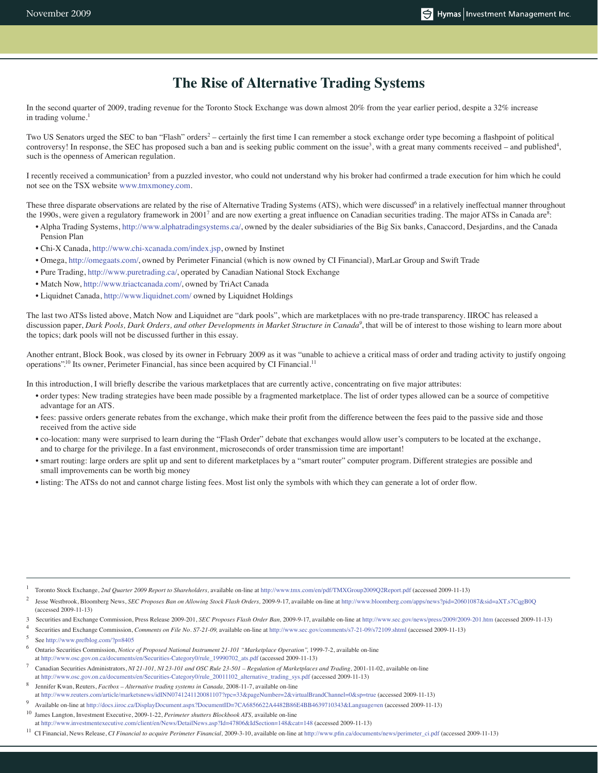## **The Rise of Alternative Trading Systems**

In the second quarter of 2009, trading revenue for the Toronto Stock Exchange was down almost 20% from the year earlier period, despite a 32% increase in trading volume.<sup>1</sup>

Two US Senators urged the SEC to ban "Flash" orders<sup>2</sup> – certainly the first time I can remember a stock exchange order type becoming a flashpoint of political controversy! In response, the SEC has proposed such a ban and is seeking public comment on the issue<sup>3</sup>, with a great many comments received – and published<sup>4</sup>, such is the openness of American regulation.

I recently received a communication<sup>5</sup> from a puzzled investor, who could not understand why his broker had confirmed a trade execution for him which he could not see on the TSX website www.tmxmoney.com.

These three disparate observations are related by the rise of Alternative Trading Systems (ATS), which were discussed<sup>6</sup> in a relatively ineffectual manner throughout the 1990s, were given a regulatory framework in 2001<sup>7</sup> and are now exerting a great influence on Canadian securities trading. The major ATSs in Canada are<sup>8</sup>:

- Alpha Trading Systems, http://www.alphatradingsystems.ca/, owned by the dealer subsidiaries of the Big Six banks, Canaccord, Desjardins, and the Canada Pension Plan
- Chi-X Canada, http://www.chi-xcanada.com/index.jsp, owned by Instinet
- Omega, http://omegaats.com/, owned by Perimeter Financial (which is now owned by CI Financial), MarLar Group and Swift Trade
- Pure Trading, http://www.puretrading.ca/, operated by Canadian National Stock Exchange
- Match Now, http://www.triactcanada.com/, owned by TriAct Canada
- Liquidnet Canada, http://www.liquidnet.com/ owned by Liquidnet Holdings

The last two ATSs listed above, Match Now and Liquidnet are "dark pools", which are marketplaces with no pre-trade transparency. IIROC has released a discussion paper, *Dark Pools, Dark Orders, and other Developments in Market Structure in Canada<sup>9</sup>, that will be of interest to those wishing to learn more about* the topics; dark pools will not be discussed further in this essay.

Another entrant, Block Book, was closed by its owner in February 2009 as it was "unable to achieve a critical mass of order and trading activity to justify ongoing operations".10 Its owner, Perimeter Financial, has since been acquired by CI Financial.11

In this introduction, I will briefly describe the various marketplaces that are currently active, concentrating on five major attributes:

- order types: New trading strategies have been made possible by a fragmented marketplace. The list of order types allowed can be a source of competitive advantage for an ATS.
- fees: passive orders generate rebates from the exchange, which make their profit from the difference between the fees paid to the passive side and those received from the active side
- co-location: many were surprised to learn during the "Flash Order" debate that exchanges would allow user's computers to be located at the exchange, and to charge for the privilege. In a fast environment, microseconds of order transmission time are important!
- smart routing: large orders are split up and sent to diferent marketplaces by a "smart router" computer program. Different strategies are possible and small improvements can be worth big money
- listing: The ATSs do not and cannot charge listing fees. Most list only the symbols with which they can generate a lot of order flow.

- 1 Toronto Stock Exchange, *2nd Quarter 2009 Report to Shareholders,* available on-line at http://www.tmx.com/en/pdf/TMXGroup2009Q2Report.pdf (accessed 2009-11-13)
- 2 Jesse Westbrook, Bloomberg News, *SEC Proposes Ban on Allowing Stock Flash Orders,* 2009-9-17, available on-line at http://www.bloomberg.com/apps/news?pid=20601087&sid=aXT.s7CqgB0Q (accessed 2009-11-13)
- 3 Securities and Exchange Commission, Press Release 2009-201, *SEC Proposes Flash Order Ban,* 2009-9-17, available on-line at http://www.sec.gov/news/press/2009/2009-201.htm (accessed 2009-11-13)
- 4 Securities and Exchange Commission, *Comments on File No. S7-21-09*, available on-line at http://www.sec.gov/comments/s7-21-09/s72109.shtml (accessed 2009-11-13)
- 5 See http://www.prefblog.com/?p=8405
- 6 Ontario Securities Commission, *Notice of Proposed National Instrument 21-101 "Marketplace Operation",* 1999-7-2, available on-line at http://www.osc.gov.on.ca/documents/en/Securities-Category0/rule\_19990702\_ats.pdf (accessed 2009-11-13)
- 7 Canadian Securities Administrators, *NI 21-101, NI 23-101 and OSC Rule 23-501 – Regulation of Marketplaces and Trading,* 2001-11-02, available on-line at http://www.osc.gov.on.ca/documents/en/Securities-Category0/rule\_20011102\_alternative\_trading\_sys.pdf (accessed 2009-11-13)
- 8 Jennifer Kwan, Reuters, *Factbox – Alternative trading systems in Canada,* 2008-11-7, available on-line at http://www.reuters.com/article/marketsnews/idINN0741241120081107?rpc=33&pageNumber=2&virtualBrandChannel=0&sp=true (accessed 2009-11-13)
- 9 Available on-line at http://docs.iiroc.ca/DisplayDocument.aspx?DocumentID=7CA6856622A4482B86E4BB4639710343&Language=en (accessed 2009-11-13)
- 10 James Langton, Investment Executive, 2009-1-22, *Perimeter shutters Blockbook ATS,* available on-line at http://www.investmentexecutive.com/client/en/News/DetailNews.asp?Id=47806&IdSection=148&cat=148 (accessed 2009-11-13)
- 11 CI Financial, News Release, *CI Financial to acquire Perimeter Financial,* 2009-3-10, available on-line at http://www.pfin.ca/documents/news/perimeter\_ci.pdf (accessed 2009-11-13)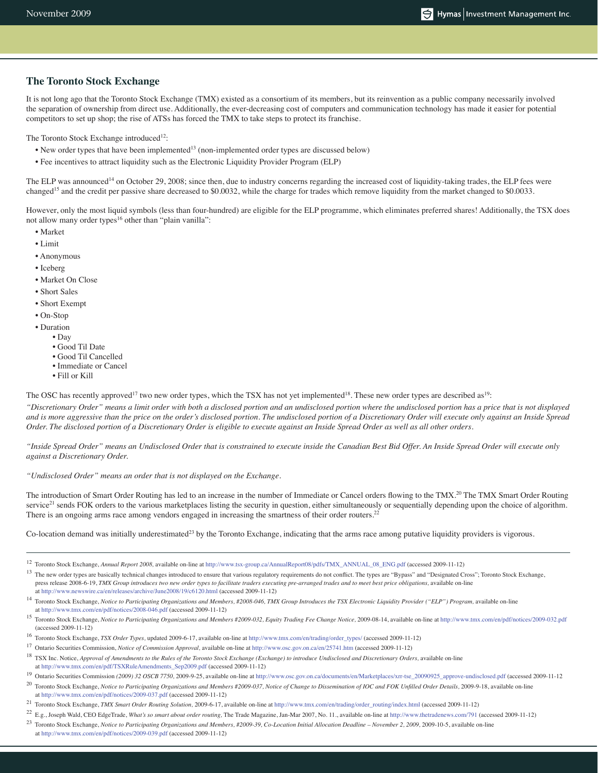#### **The Toronto Stock Exchange**

It is not long ago that the Toronto Stock Exchange (TMX) existed as a consortium of its members, but its reinvention as a public company necessarily involved the separation of ownership from direct use. Additionally, the ever-decreasing cost of computers and communication technology has made it easier for potential competitors to set up shop; the rise of ATSs has forced the TMX to take steps to protect its franchise.

The Toronto Stock Exchange introduced<sup>12</sup>:

- New order types that have been implemented<sup>13</sup> (non-implemented order types are discussed below)
- Fee incentives to attract liquidity such as the Electronic Liquidity Provider Program (ELP)

The ELP was announced<sup>14</sup> on October 29, 2008; since then, due to industry concerns regarding the increased cost of liquidity-taking trades, the ELP fees were changed15 and the credit per passive share decreased to \$0.0032, while the charge for trades which remove liquidity from the market changed to \$0.0033.

However, only the most liquid symbols (less than four-hundred) are eligible for the ELP programme, which eliminates preferred shares! Additionally, the TSX does not allow many order types<sup>16</sup> other than "plain vanilla":

- Market
- Limit
- Anonymous
- Iceberg
- Market On Close
- Short Sales
- Short Exempt
- On-Stop
- Duration
	- Day
		- Good Til Date
		- Good Til Cancelled
		- Immediate or Cancel
		- Fill or Kill

The OSC has recently approved<sup>17</sup> two new order types, which the TSX has not yet implemented<sup>18</sup>. These new order types are described as<sup>19</sup>:

*"Discretionary Order" means a limit order with both a disclosed portion and an undisclosed portion where the undisclosed portion has a price that is not displayed and is more aggressive than the price on the order's disclosed portion. The undisclosed portion of a Discretionary Order will execute only against an Inside Spread Order. The disclosed portion of a Discretionary Order is eligible to execute against an Inside Spread Order as well as all other orders.*

*"Inside Spread Order" means an Undisclosed Order that is constrained to execute inside the Canadian Best Bid Offer. An Inside Spread Order will execute only against a Discretionary Order.*

*"Undisclosed Order" means an order that is not displayed on the Exchange.*

The introduction of Smart Order Routing has led to an increase in the number of Immediate or Cancel orders flowing to the TMX.<sup>20</sup> The TMX Smart Order Routing service<sup>21</sup> sends FOK orders to the various marketplaces listing the security in question, either simultaneously or sequentially depending upon the choice of algorithm. There is an ongoing arms race among vendors engaged in increasing the smartness of their order routers.<sup>22</sup>

Co-location demand was initially underestimated<sup>23</sup> by the Toronto Exchange, indicating that the arms race among putative liquidity providers is vigorous.

12 Toronto Stock Exchange, *Annual Report 2008,* available on-line at http://www.tsx-group.ca/AnnualReport08/pdfs/TMX\_ANNUAL\_08\_ENG.pdf (accessed 2009-11-12)

- 14 Toronto Stock Exchange, *Notice to Participating Organizations and Members, #2008-046, TMX Group Introduces the TSX Electronic Liquidity Provider ("ELP") Program,* available on-line at http://www.tmx.com/en/pdf/notices/2008-046.pdf (accessed 2009-11-12)
- 15 Toronto Stock Exchange, *Notice to Participating Organizations and Members #2009-032, Equity Trading Fee Change Notice,* 2009-08-14, available on-line at http://www.tmx.com/en/pdf/notices/2009-032.pdf (accessed 2009-11-12)
- 16 Toronto Stock Exchange, *TSX Order Types,* updated 2009-6-17, available on-line at http://www.tmx.com/en/trading/order\_types/ (accessed 2009-11-12)
- 17 Ontario Securities Commission, *Notice of Commission Approval,* available on-line at http://www.osc.gov.on.ca/en/25741.htm (accessed 2009-11-12)
- 18 TSX Inc. Notice, *Approval of Amendments to the Rules of the Toronto Stock Exchange (Exchange) to introduce Undisclosed and Discretionary Orders,* available on-line at http://www.tmx.com/en/pdf/TSXRuleAmendments\_Sep2009.pdf (accessed 2009-11-12)
- 19 Ontario Securities Commission *(2009) 32 OSCB 7750,* 2009-9-25, available on-line at http://www.osc.gov.on.ca/documents/en/Marketplaces/xrr-tse\_20090925\_approve-undisclosed.pdf (accessed 2009-11-12
- 20 Toronto Stock Exchange, *Notice to Participating Organizations and Members #2009-037, Notice of Change to Dissemination of IOC and FOK Unfilled Order Details,* 2009-9-18, available on-line at http://www.tmx.com/en/pdf/notices/2009-037.pdf (accessed 2009-11-12)
- 21 Toronto Stock Exchange, *TMX Smart Order Routing Solution,* 2009-6-17, available on-line at http://www.tmx.com/en/trading/order\_routing/index.html (accessed 2009-11-12)
- 22 E.g., Joseph Wald, CEO EdgeTrade, *What's so smart about order routing,* The Trade Magazine, Jan-Mar 2007, No. 11., available on-line at http://www.thetradenews.com/791 (accessed 2009-11-12)
- 23 Toronto Stock Exchange, *Notice to Participating Organizations and Members, #2009-39, Co-Location Initial Allocation Deadline November 2, 2009,* 2009-10-5, available on-line at http://www.tmx.com/en/pdf/notices/2009-039.pdf (accessed 2009-11-12)

<sup>&</sup>lt;sup>13</sup> The new order types are basically technical changes introduced to ensure that various regulatory requirements do not conflict. The types are "Bypass" and "Designated Cross"; Toronto Stock Exchange, press release 2008-6-19, *TMX Group introduces two new order types to facilitate traders executing pre-arranged trades and to meet best price obligations,* available on-line at http://www.newswire.ca/en/releases/archive/June2008/19/c6120.html (accessed 2009-11-12)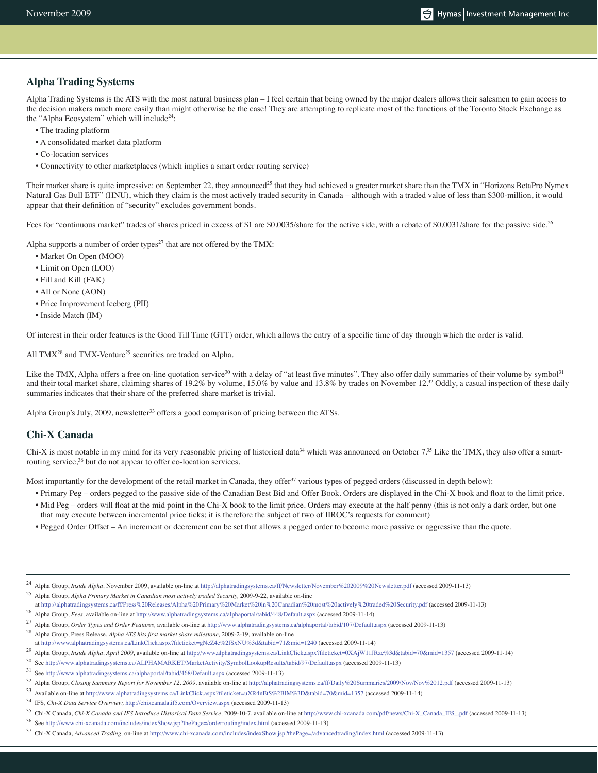### **Alpha Trading Systems**

Alpha Trading Systems is the ATS with the most natural business plan – I feel certain that being owned by the major dealers allows their salesmen to gain access to the decision makers much more easily than might otherwise be the case! They are attempting to replicate most of the functions of the Toronto Stock Exchange as the "Alpha Ecosystem" which will include<sup>24</sup>:

- The trading platform
- A consolidated market data platform
- Co-location services
- Connectivity to other marketplaces (which implies a smart order routing service)

Their market share is quite impressive: on September 22, they announced<sup>25</sup> that they had achieved a greater market share than the TMX in "Horizons BetaPro Nymex Natural Gas Bull ETF" (HNU), which they claim is the most actively traded security in Canada – although with a traded value of less than \$300-million, it would appear that their definition of "security" excludes government bonds.

Fees for "continuous market" trades of shares priced in excess of \$1 are \$0.0035/share for the active side, with a rebate of \$0.0031/share for the passive side.<sup>26</sup>

Alpha supports a number of order types<sup>27</sup> that are not offered by the TMX:

- Market On Open (MOO)
- Limit on Open (LOO)
- Fill and Kill (FAK)
- All or None (AON)
- Price Improvement Iceberg (PII)
- Inside Match (IM)

Of interest in their order features is the Good Till Time (GTT) order, which allows the entry of a specific time of day through which the order is valid.

All TMX<sup>28</sup> and TMX-Venture<sup>29</sup> securities are traded on Alpha.

Like the TMX, Alpha offers a free on-line quotation service<sup>30</sup> with a delay of "at least five minutes". They also offer daily summaries of their volume by symbol<sup>31</sup> and their total market share, claiming shares of 19.2% by volume,  $15.0\%$  by value and 13.8% by trades on November 12.<sup>32</sup> Oddly, a casual inspection of these daily summaries indicates that their share of the preferred share market is trivial.

Alpha Group's July, 2009, newsletter<sup>33</sup> offers a good comparison of pricing between the ATSs.

## **Chi-X Canada**

Chi-X is most notable in my mind for its very reasonable pricing of historical data<sup>34</sup> which was announced on October  $7<sup>35</sup>$  Like the TMX, they also offer a smartrouting service,<sup>36</sup> but do not appear to offer co-location services.

Most importantly for the development of the retail market in Canada, they offer<sup>37</sup> various types of pegged orders (discussed in depth below):

- Primary Peg orders pegged to the passive side of the Canadian Best Bid and Offer Book. Orders are displayed in the Chi-X book and float to the limit price.
- Mid Peg orders will float at the mid point in the Chi-X book to the limit price. Orders may execute at the half penny (this is not only a dark order, but one that may execute between incremental price ticks; it is therefore the subject of two of IIROC's requests for comment)
- Pegged Order Offset An increment or decrement can be set that allows a pegged order to become more passive or aggressive than the quote.

25 Alpha Group, *Alpha Primary Market in Canadian most actively traded Security,* 2009-9-22, available on-line

34 IFS, *Chi-X Data Service Overview,* http://chixcanada.if5.com/Overview.aspx (accessed 2009-11-13)

36 See http://www.chi-xcanada.com/includes/indexShow.jsp?thePage=/orderrouting/index.html (accessed 2009-11-13)

<sup>24</sup> Alpha Group, *Inside Alpha,* November 2009, available on-line at http://alphatradingsystems.ca/ff/Newsletter/November%202009%20Newsletter.pdf (accessed 2009-11-13)

at http://alphatradingsystems.ca/ff/Press%20Releases/Alpha%20Primary%20Market%20in%20Canadian%20most%20actively%20traded%20Security.pdf (accessed 2009-11-13)

<sup>26</sup> Alpha Group, *Fees,* available on-line at http://www.alphatradingsystems.ca/alphaportal/tabid/448/Default.aspx (accessed 2009-11-14)

<sup>27</sup> Alpha Group, *Order Types and Order Features,* available on-line at http://www.alphatradingsystems.ca/alphaportal/tabid/107/Default.aspx (accessed 2009-11-13)

<sup>28</sup> Alpha Group, Press Release, *Alpha ATS hits first market share milestone,* 2009-2-19, available on-line

at http://www.alphatradingsystems.ca/LinkClick.aspx?fileticket=gNeZ4e%2fSxNU%3d&tabid=71&mid=1240 (accessed 2009-11-14)

<sup>29</sup> Alpha Group, *Inside Alpha, April 2009,* available on-line at http://www.alphatradingsystems.ca/LinkClick.aspx?fileticket=0XAjW11JRzc%3d&tabid=70&mid=1357 (accessed 2009-11-14)

<sup>30</sup> See http://www.alphatradingsystems.ca/ALPHAMARKET/MarketActivity/SymbolLookupResults/tabid/97/Default.aspx (accessed 2009-11-13)

<sup>31</sup> See http://www.alphatradingsystems.ca/alphaportal/tabid/468/Default.aspx (accessed 2009-11-13)

<sup>32</sup> Alpha Group, *Closing Summary Report for November 12, 2009,* available on-line at http://alphatradingsystems.ca/ff/Daily%20Summaries/2009/Nov/Nov%2012.pdf (accessed 2009-11-13)

<sup>33</sup> Available on-line at http://www.alphatradingsystems.ca/LinkClick.aspx?fileticket=uXR4nEtS%2BlM%3D&tabid=70&mid=1357 (accessed 2009-11-14)

<sup>35</sup> Chi-X Canada, *Chi-X Canada and IFS Introduce Historical Data Service,* 2009-10-7, available on-line at http://www.chi-xcanada.com/pdf/news/Chi-X\_Canada\_IFS\_.pdf (accessed 2009-11-13)

<sup>37</sup> Chi-X Canada, *Advanced Trading,* on-line at http://www.chi-xcanada.com/includes/indexShow.jsp?thePage=/advancedtrading/index.html (accessed 2009-11-13)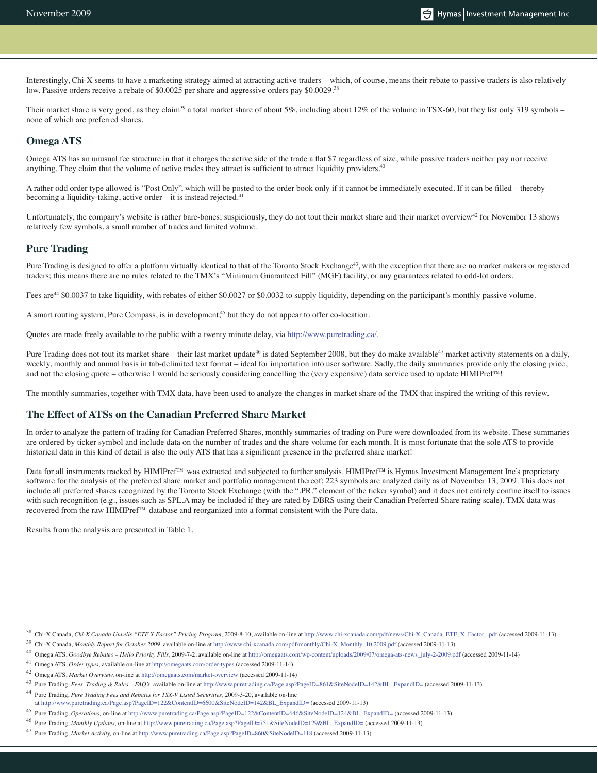Interestingly, Chi-X seems to have a marketing strategy aimed at attracting active traders – which, of course, means their rebate to passive traders is also relatively low. Passive orders receive a rebate of \$0.0025 per share and aggressive orders pay \$0.0029.<sup>38</sup>

Their market share is very good, as they claim<sup>39</sup> a total market share of about  $5\%$ , including about  $12\%$  of the volume in TSX-60, but they list only 319 symbols – none of which are preferred shares.

#### **Omega ATS**

Omega ATS has an unusual fee structure in that it charges the active side of the trade a flat \$7 regardless of size, while passive traders neither pay nor receive anything. They claim that the volume of active trades they attract is sufficient to attract liquidity providers.<sup>40</sup>

A rather odd order type allowed is "Post Only", which will be posted to the order book only if it cannot be immediately executed. If it can be filled – thereby becoming a liquidity-taking, active order  $-$  it is instead rejected.<sup>41</sup>

Unfortunately, the company's website is rather bare-bones; suspiciously, they do not tout their market share and their market overview $42$  for November 13 shows relatively few symbols, a small number of trades and limited volume.

#### **Pure Trading**

Pure Trading is designed to offer a platform virtually identical to that of the Toronto Stock Exchange<sup>43</sup>, with the exception that there are no market makers or registered traders; this means there are no rules related to the TMX's "Minimum Guaranteed Fill" (MGF) facility, or any guarantees related to odd-lot orders.

Fees are<sup>44</sup> \$0.0037 to take liquidity, with rebates of either \$0.0027 or \$0.0032 to supply liquidity, depending on the participant's monthly passive volume.

A smart routing system, Pure Compass, is in development,<sup>45</sup> but they do not appear to offer co-location.

Quotes are made freely available to the public with a twenty minute delay, via http://www.puretrading.ca/.

Pure Trading does not tout its market share – their last market update<sup>46</sup> is dated September 2008, but they do make available<sup>47</sup> market activity statements on a daily, weekly, monthly and annual basis in tab-delimited text format – ideal for importation into user software. Sadly, the daily summaries provide only the closing price, and not the closing quote – otherwise I would be seriously considering cancelling the (very expensive) data service used to update HIMIPref™!

The monthly summaries, together with TMX data, have been used to analyze the changes in market share of the TMX that inspired the writing of this review.

#### **The Effect of ATSs on the Canadian Preferred Share Market**

In order to analyze the pattern of trading for Canadian Preferred Shares, monthly summaries of trading on Pure were downloaded from its website. These summaries are ordered by ticker symbol and include data on the number of trades and the share volume for each month. It is most fortunate that the sole ATS to provide historical data in this kind of detail is also the only ATS that has a significant presence in the preferred share market!

Data for all instruments tracked by HIMIPref™ was extracted and subjected to further analysis. HIMIPref™ is Hymas Investment Management Inc's proprietary software for the analysis of the preferred share market and portfolio management thereof; 223 symbols are analyzed daily as of November 13, 2009. This does not include all preferred shares recognized by the Toronto Stock Exchange (with the ".PR." element of the ticker symbol) and it does not entirely confine itself to issues with such recognition (e.g., issues such as SPL.A may be included if they are rated by DBRS using their Canadian Preferred Share rating scale). TMX data was recovered from the raw HIMIPref™ database and reorganized into a format consistent with the Pure data.

Results from the analysis are presented in Table 1.

<sup>38</sup> Chi-X Canada, *Chi-X Canada Unveils "ETF X Factor" Pricing Program,* 2009-8-10, available on-line at http://www.chi-xcanada.com/pdf/news/Chi-X\_Canada\_ETF\_X\_Factor\_.pdf (accessed 2009-11-13)

<sup>39</sup> Chi-X Canada, *Monthly Report for October 2009,* available on-line at http://www.chi-xcanada.com/pdf/monthly/Chi-X\_Monthly\_10.2009.pdf (accessed 2009-11-13)

<sup>40</sup> Omega ATS, *Goodbye Rebates – Hello Priority Fills,* 2009-7-2, available on-line at http://omegaats.com/wp-content/uploads/2009/07/omega-ats-news\_july-2-2009.pdf (accessed 2009-11-14)

<sup>41</sup> Omega ATS, *Order types,* available on-line at http://omegaats.com/order-types (accessed 2009-11-14)

<sup>42</sup> Omega ATS, *Market Overview,* on-line at http://omegaats.com/market-overview (accessed 2009-11-14)

<sup>43</sup> Pure Trading, *Fees, Trading & Rules – FAQ's,* available on-line at http://www.puretrading.ca/Page.asp?PageID=861&SiteNodeID=142&BL\_ExpandID= (accessed 2009-11-13)

<sup>44</sup> Pure Trading, *Pure Trading Fees and Rebates for TSX-V Listed Securities,* 2009-3-20, available on-line

at http://www.puretrading.ca/Page.asp?PageID=122&ContentID=6600&SiteNodeID=142&BL\_ExpandID= (accessed 2009-11-13)

<sup>45</sup> Pure Trading, *Operations,* on-line at http://www.puretrading.ca/Page.asp?PageID=122&ContentID=646&SiteNodeID=124&BL\_ExpandID= (accessed 2009-11-13)

<sup>46</sup> Pure Trading, *Monthly Updates,* on-line at http://www.puretrading.ca/Page.asp?PageID=751&SiteNodeID=129&BL\_ExpandID= (accessed 2009-11-13)

<sup>47</sup> Pure Trading, *Market Activity,* on-line at http://www.puretrading.ca/Page.asp?PageID=860&SiteNodeID=118 (accessed 2009-11-13)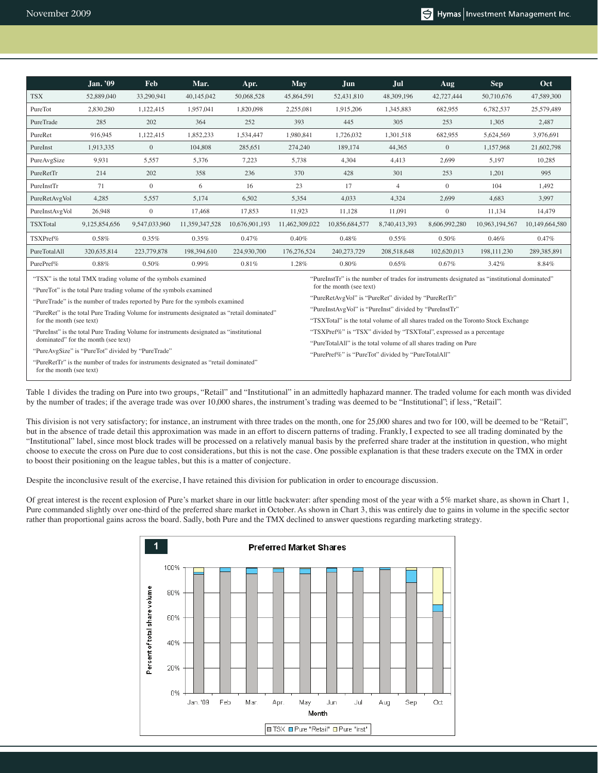|                                                                                                                                                                                                                                                                 | $\overline{\text{Jan}}$ . '09 | <b>Feb</b>                         | Mar.           | Apr.           | May            | Jun                                                                               | Jul            | <b>Aug</b>    | <b>Sep</b>     | Oct            |  |  |  |
|-----------------------------------------------------------------------------------------------------------------------------------------------------------------------------------------------------------------------------------------------------------------|-------------------------------|------------------------------------|----------------|----------------|----------------|-----------------------------------------------------------------------------------|----------------|---------------|----------------|----------------|--|--|--|
| <b>TSX</b>                                                                                                                                                                                                                                                      | 52,889,040                    | 33,290,941                         | 40,145,042     | 50,068,528     | 45,864,591     | 52,431,810                                                                        | 48,309,196     | 42,727,444    | 50,710,676     | 47,589,300     |  |  |  |
| PureTot                                                                                                                                                                                                                                                         | 2,830,280                     | 1,122,415                          | 1,957,041      | 1,820,098      | 2,255,081      | 1,915,206                                                                         | 1,345,883      | 682.955       | 6,782,537      | 25,579,489     |  |  |  |
| PureTrade                                                                                                                                                                                                                                                       | 285                           | 202<br>364<br>252                  |                |                | 393            | 445                                                                               | 305            | 253           | 1,305          | 2,487          |  |  |  |
| PureRet                                                                                                                                                                                                                                                         | 916,945                       | 1,852,233<br>1,122,415             |                | 1,534,447      | 1,980,841      | 1,726,032                                                                         | 1,301,518      | 682,955       | 5,624,569      | 3,976,691      |  |  |  |
| PureInst                                                                                                                                                                                                                                                        | 1.913.335                     | $\mathbf{0}$                       | 104,808        | 285.651        | 274,240        | 189,174                                                                           | 44.365         | $\mathbf{0}$  | 1.157.968      | 21,602,798     |  |  |  |
| PureAvgSize                                                                                                                                                                                                                                                     | 9,931                         | 5,557                              | 5,376          | 7,223          | 5,738          | 4,304                                                                             | 4,413          | 2,699         | 5,197          | 10,285         |  |  |  |
| PureRetTr                                                                                                                                                                                                                                                       | 202<br>214<br>358<br>236      |                                    |                |                | 370            | 428                                                                               | 301            | 253           | 1,201          | 995            |  |  |  |
| PureInstTr                                                                                                                                                                                                                                                      | 71                            | $\mathbf{0}$                       | 6              | 16             | 23             | 17                                                                                | $\overline{4}$ | $\theta$      | 104            | 1,492          |  |  |  |
| PureRetAvgVol                                                                                                                                                                                                                                                   | 4,285                         | 5,557                              | 5,174          | 6,502          | 5,354          | 4,033                                                                             | 4,324          | 2,699         | 4,683          | 3,997          |  |  |  |
| PureInstAvgVol                                                                                                                                                                                                                                                  | 26.948                        | $\overline{0}$<br>17.468<br>17.853 |                |                |                | 11.128                                                                            | 11.091         | $\mathbf{0}$  | 11.134         | 14,479         |  |  |  |
| TSXTotal                                                                                                                                                                                                                                                        | 9,125,854,656                 | 9,547,033,960                      | 11,359,347,528 | 10,676,901,193 | 11,462,309,022 | 10,856,684,577                                                                    | 8,740,413,393  | 8,606,992,280 | 10,963,194,567 | 10,149,664,580 |  |  |  |
| TSXPref%                                                                                                                                                                                                                                                        | 0.58%                         | 0.35%                              | 0.35%          | 0.47%          | 0.40%          | 0.48%                                                                             | 0.55%          | 0.50%         | 0.46%          | 0.47%          |  |  |  |
| PureTotalAll                                                                                                                                                                                                                                                    | 320,635,814                   | 223,779,878                        | 198,394,610    | 224,930,700    | 176,276,524    | 240,273,729                                                                       | 208,518,648    | 102,620,013   | 198, 111, 230  | 289, 385, 891  |  |  |  |
| PurePref%                                                                                                                                                                                                                                                       | $0.88\%$                      | 0.50%                              | 0.99%          | 0.81%          | 1.28%          | $0.80\%$                                                                          | 0.65%          | 0.67%         | 3.42%          | 8.84%          |  |  |  |
| "TSX" is the total TMX trading volume of the symbols examined<br>"PureInstTr" is the number of trades for instruments designated as "institutional dominated"<br>for the month (see text)<br>"PureTot" is the total Pure trading volume of the symbols examined |                               |                                    |                |                |                |                                                                                   |                |               |                |                |  |  |  |
|                                                                                                                                                                                                                                                                 |                               |                                    |                |                |                | "PureRetAvgVol" is "PureRet" divided by "PureRetTr"                               |                |               |                |                |  |  |  |
| "PureTrade" is the number of trades reported by Pure for the symbols examined<br>"PureRet" is the total Pure Trading Volume for instruments designated as "retail dominated"                                                                                    |                               |                                    |                |                |                | "PureInstAvgVol" is "PureInst" divided by "PureInstTr"                            |                |               |                |                |  |  |  |
| for the month (see text)                                                                                                                                                                                                                                        |                               |                                    |                |                |                | "TSXTotal" is the total volume of all shares traded on the Toronto Stock Exchange |                |               |                |                |  |  |  |
| "PureInst" is the total Pure Trading Volume for instruments designated as "institutional"<br>dominated" for the month (see text)                                                                                                                                |                               |                                    |                |                |                | "TSXPref%" is "TSX" divided by "TSXTotal", expressed as a percentage              |                |               |                |                |  |  |  |
| "PureAvgSize" is "PureTot" divided by "PureTrade"                                                                                                                                                                                                               |                               |                                    |                |                |                | "PureTotalAll" is the total volume of all shares trading on Pure                  |                |               |                |                |  |  |  |
|                                                                                                                                                                                                                                                                 |                               |                                    |                |                |                | "PurePref%" is "PureTot" divided by "PureTotalAll"                                |                |               |                |                |  |  |  |
| "PureRetTr" is the number of trades for instruments designated as "retail dominated"<br>for the month (see text)                                                                                                                                                |                               |                                    |                |                |                |                                                                                   |                |               |                |                |  |  |  |

Table 1 divides the trading on Pure into two groups, "Retail" and "Institutional" in an admittedly haphazard manner. The traded volume for each month was divided by the number of trades; if the average trade was over 10,000 shares, the instrument's trading was deemed to be "Institutional"; if less, "Retail".

This division is not very satisfactory; for instance, an instrument with three trades on the month, one for 25,000 shares and two for 100, will be deemed to be "Retail", but in the absence of trade detail this approximation was made in an effort to discern patterns of trading. Frankly, I expected to see all trading dominated by the "Institutional" label, since most block trades will be processed on a relatively manual basis by the preferred share trader at the institution in question, who might choose to execute the cross on Pure due to cost considerations, but this is not the case. One possible explanation is that these traders execute on the TMX in order to boost their positioning on the league tables, but this is a matter of conjecture.

Despite the inconclusive result of the exercise, I have retained this division for publication in order to encourage discussion.

Of great interest is the recent explosion of Pure's market share in our little backwater: after spending most of the year with a 5% market share, as shown in Chart 1, Pure commanded slightly over one-third of the preferred share market in October. As shown in Chart 3, this was entirely due to gains in volume in the specific sector rather than proportional gains across the board. Sadly, both Pure and the TMX declined to answer questions regarding marketing strategy.

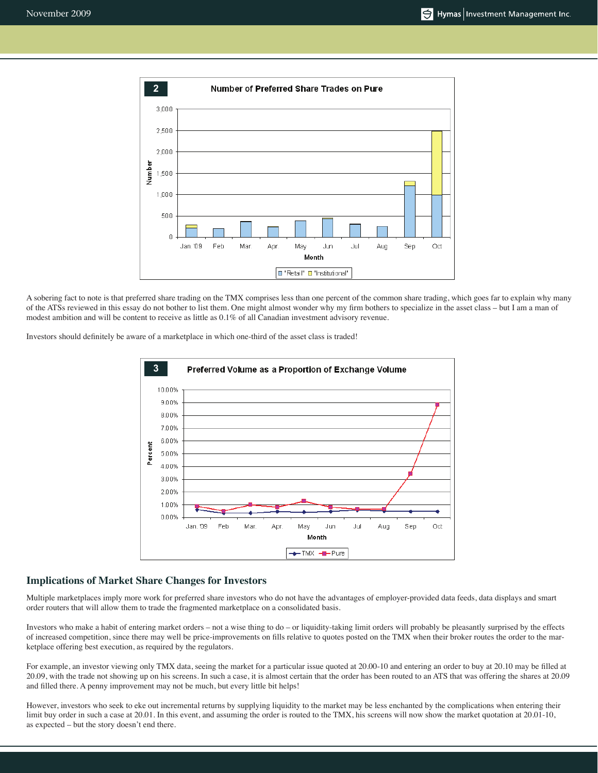

A sobering fact to note is that preferred share trading on the TMX comprises less than one percent of the common share trading, which goes far to explain why many of the ATSs reviewed in this essay do not bother to list them. One might almost wonder why my firm bothers to specialize in the asset class – but I am a man of modest ambition and will be content to receive as little as 0.1% of all Canadian investment advisory revenue.

Investors should definitely be aware of a marketplace in which one-third of the asset class is traded!



## **Implications of Market Share Changes for Investors**

Multiple marketplaces imply more work for preferred share investors who do not have the advantages of employer-provided data feeds, data displays and smart order routers that will allow them to trade the fragmented marketplace on a consolidated basis.

Investors who make a habit of entering market orders – not a wise thing to do – or liquidity-taking limit orders will probably be pleasantly surprised by the effects of increased competition, since there may well be price-improvements on fills relative to quotes posted on the TMX when their broker routes the order to the marketplace offering best execution, as required by the regulators.

For example, an investor viewing only TMX data, seeing the market for a particular issue quoted at 20.00-10 and entering an order to buy at 20.10 may be filled at 20.09, with the trade not showing up on his screens. In such a case, it is almost certain that the order has been routed to an ATS that was offering the shares at 20.09 and filled there. A penny improvement may not be much, but every little bit helps!

However, investors who seek to eke out incremental returns by supplying liquidity to the market may be less enchanted by the complications when entering their limit buy order in such a case at 20.01. In this event, and assuming the order is routed to the TMX, his screens will now show the market quotation at 20.01-10, as expected – but the story doesn't end there.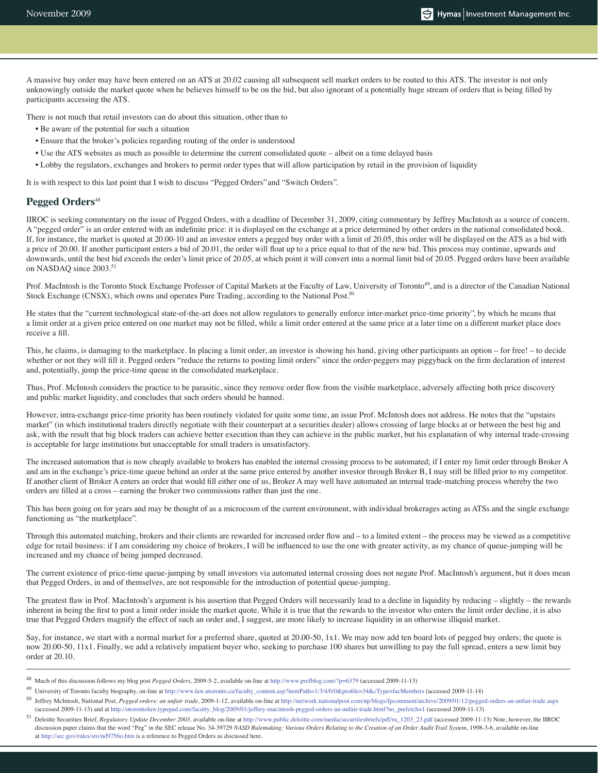A massive buy order may have been entered on an ATS at 20.02 causing all subsequent sell market orders to be routed to this ATS. The investor is not only unknowingly outside the market quote when he believes himself to be on the bid, but also ignorant of a potentially huge stream of orders that is being filled by participants accessing the ATS.

There is not much that retail investors can do about this situation, other than to

- Be aware of the potential for such a situation
- Ensure that the broker's policies regarding routing of the order is understood
- Use the ATS websites as much as possible to determine the current consolidated quote albeit on a time delayed basis
- Lobby the regulators, exchanges and brokers to permit order types that will allow participation by retail in the provision of liquidity

It is with respect to this last point that I wish to discuss "Pegged Orders" and "Switch Orders".

#### Pegged Orders<sup>48</sup>

IIROC is seeking commentary on the issue of Pegged Orders, with a deadline of December 31, 2009, citing commentary by Jeffrey MacIntosh as a source of concern. A "pegged order" is an order entered with an indefinite price: it is displayed on the exchange at a price determined by other orders in the national consolidated book. If, for instance, the market is quoted at 20.00-10 and an investor enters a pegged buy order with a limit of 20.05, this order will be displayed on the ATS as a bid with a price of 20.00. If another participant enters a bid of 20.01, the order will float up to a price equal to that of the new bid. This process may continue, upwards and downwards, until the best bid exceeds the order's limit price of 20.05, at which point it will convert into a normal limit bid of 20.05. Pegged orders have been available on NASDAQ since 2003.<sup>51</sup>

Prof. MacIntosh is the Toronto Stock Exchange Professor of Capital Markets at the Faculty of Law, University of Toronto<sup>49</sup>, and is a director of the Canadian National Stock Exchange (CNSX), which owns and operates Pure Trading, according to the National Post.<sup>50</sup>

He states that the "current technological state-of-the-art does not allow regulators to generally enforce inter-market price-time priority", by which he means that a limit order at a given price entered on one market may not be filled, while a limit order entered at the same price at a later time on a different market place does receive a fill.

This, he claims, is damaging to the marketplace. In placing a limit order, an investor is showing his hand, giving other participants an option – for free! – to decide whether or not they will fill it. Pegged orders "reduce the returns to posting limit orders" since the order-peggers may piggyback on the firm declaration of interest and, potentially, jump the price-time queue in the consolidated marketplace.

Thus, Prof. McIntosh considers the practice to be parasitic, since they remove order flow from the visible marketplace, adversely affecting both price discovery and public market liquidity, and concludes that such orders should be banned.

However, intra-exchange price-time priority has been routinely violated for quite some time, an issue Prof. McIntosh does not address. He notes that the "upstairs market" (in which institutional traders directly negotiate with their counterpart at a securities dealer) allows crossing of large blocks at or between the best big and ask, with the result that big block traders can achieve better execution than they can achieve in the public market, but his explanation of why internal trade-crossing is acceptable for large institutions but unacceptable for small traders is unsatisfactory.

The increased automation that is now cheaply available to brokers has enabled the internal crossing process to be automated; if I enter my limit order through Broker A and am in the exchange's price-time queue behind an order at the same price entered by another investor through Broker B, I may still be filled prior to my competitor. If another client of Broker A enters an order that would fill either one of us, Broker A may well have automated an internal trade-matching process whereby the two orders are filled at a cross – earning the broker two commissions rather than just the one.

This has been going on for years and may be thought of as a microcosm of the current environment, with individual brokerages acting as ATSs and the single exchange functioning as "the marketplace".

Through this automated matching, brokers and their clients are rewarded for increased order flow and – to a limited extent – the process may be viewed as a competitive edge for retail business: if I am considering my choice of brokers, I will be influenced to use the one with greater activity, as my chance of queue-jumping will be increased and my chance of being jumped decreased.

The current existence of price-time queue-jumping by small investors via automated internal crossing does not negate Prof. MacIntosh's argument, but it does mean that Pegged Orders, in and of themselves, are not responsible for the introduction of potential queue-jumping.

The greatest flaw in Prof. MacIntosh's argument is his assertion that Pegged Orders will necessarily lead to a decline in liquidity by reducing – slightly – the rewards inherent in being the first to post a limit order inside the market quote. While it is true that the rewards to the investor who enters the limit order decline, it is also true that Pegged Orders magnify the effect of such an order and, I suggest, are more likely to increase liquidity in an otherwise illiquid market.

Say, for instance, we start with a normal market for a preferred share, quoted at 20.00-50, 1x1. We may now add ten board lots of pegged buy orders; the quote is now 20.00-50, 11x1. Finally, we add a relatively impatient buyer who, seeking to purchase 100 shares but unwilling to pay the full spread, enters a new limit buy order at 20.10.

49 University of Toronto faculty biography, on-line at http://www.law.utoronto.ca/faculty\_content.asp?itemPath=1/3/4/0/0&profile=34&cType=facMembers (accessed 2009-11-14)

<sup>48</sup> Much of this discussion follows my blog post *Pegged Orders,* 2009-5-2, available on-line at http://www.prefblog.com/?p=6379 (accessed 2009-11-13)

<sup>50</sup> Jeffrey McIntosh, National Post, *Pegged orders: an unfair trade,* 2009-1-12, available on-line at http://network.nationalpost.com/np/blogs/fpcomment/archive/2009/01/12/pegged-orders-an-unfair-trade.aspx (accessed 2009-11-13) and at http://utorontolaw.typepad.com/faculty\_blog/2009/01/jeffrey-macintosh-pegged-orders-an-unfair-trade.html?no\_prefetch=1 (accessed 2009-11-13)

<sup>51</sup> Deloitte Securities Brief, *Regulatory Update December 2003,* available on-line at http://www.public.deloitte.com/media/securitiesbriefs/pdf/ru\_1203\_23.pdf (accessed 2009-11-13) Note, however, the IIROC discussion paper claims that the word "Peg" in the SEC release No. 34-39729 *NASD Rulemaking: Various Orders Relating to the Creation of an Order Audit Trail System*, 1998-3-6, available on-line at http://sec.gov/rules/sro/nd9756o.htm is a reference to Pegged Orders as discussed here.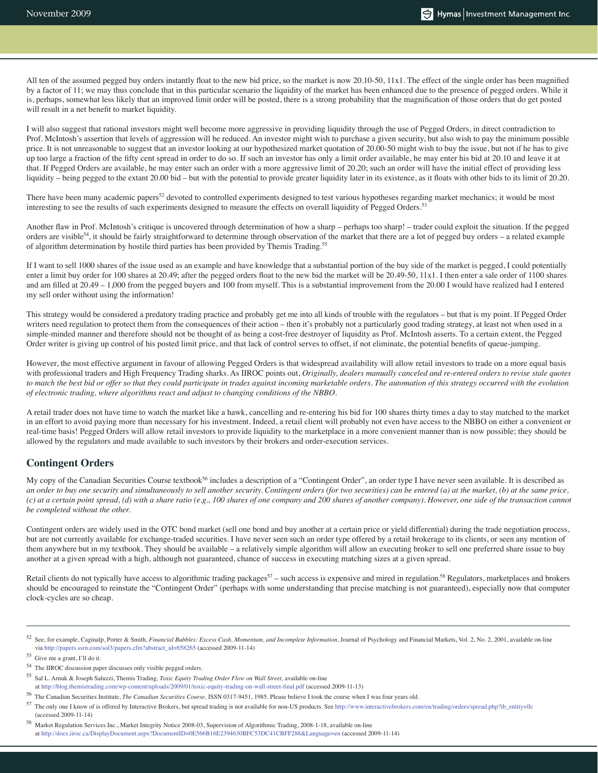All ten of the assumed pegged buy orders instantly float to the new bid price, so the market is now 20.10-50, 11x1. The effect of the single order has been magnified by a factor of 11; we may thus conclude that in this particular scenario the liquidity of the market has been enhanced due to the presence of pegged orders. While it is, perhaps, somewhat less likely that an improved limit order will be posted, there is a strong probability that the magnification of those orders that do get posted will result in a net benefit to market liquidity.

I will also suggest that rational investors might well become more aggressive in providing liquidity through the use of Pegged Orders, in direct contradiction to Prof. McIntosh's assertion that levels of aggression will be reduced. An investor might wish to purchase a given security, but also wish to pay the minimum possible price. It is not unreasonable to suggest that an investor looking at our hypothesized market quotation of 20.00-50 might wish to buy the issue, but not if he has to give up too large a fraction of the fifty cent spread in order to do so. If such an investor has only a limit order available, he may enter his bid at 20.10 and leave it at that. If Pegged Orders are available, he may enter such an order with a more aggressive limit of 20.20; such an order will have the initial effect of providing less liquidity – being pegged to the extant 20.00 bid – but with the potential to provide greater liquidity later in its existence, as it floats with other bids to its limit of 20.20.

There have been many academic papers<sup>52</sup> devoted to controlled experiments designed to test various hypotheses regarding market mechanics; it would be most interesting to see the results of such experiments designed to measure the effects on overall liquidity of Pegged Orders.53

Another flaw in Prof. McIntosh's critique is uncovered through determination of how a sharp – perhaps too sharp! – trader could exploit the situation. If the pegged orders are visible<sup>54</sup>, it should be fairly straightforward to determine through observation of the market that there are a lot of pegged buy orders – a related example of algorithm determination by hostile third parties has been provided by Themis Trading.55

If I want to sell 1000 shares of the issue used as an example and have knowledge that a substantial portion of the buy side of the market is pegged, I could potentially enter a limit buy order for 100 shares at 20.49; after the pegged orders float to the new bid the market will be 20.49-50, 11x1. I then enter a sale order of 1100 shares and am filled at 20.49 – 1,000 from the pegged buyers and 100 from myself. This is a substantial improvement from the 20.00 I would have realized had I entered my sell order without using the information!

This strategy would be considered a predatory trading practice and probably get me into all kinds of trouble with the regulators – but that is my point. If Pegged Order writers need regulation to protect them from the consequences of their action – then it's probably not a particularly good trading strategy, at least not when used in a simple-minded manner and therefore should not be thought of as being a cost-free destroyer of liquidity as Prof. McIntosh asserts. To a certain extent, the Pegged Order writer is giving up control of his posted limit price, and that lack of control serves to offset, if not eliminate, the potential benefits of queue-jumping.

However, the most effective argument in favour of allowing Pegged Orders is that widespread availability will allow retail investors to trade on a more equal basis with professional traders and High Frequency Trading sharks. As IIROC points out, *Originally, dealers manually canceled and re-entered orders to revise stale quotes to match the best bid or offer so that they could participate in trades against incoming marketable orders. The automation of this strategy occurred with the evolution of electronic trading, where algorithms react and adjust to changing conditions of the NBBO.*

A retail trader does not have time to watch the market like a hawk, cancelling and re-entering his bid for 100 shares thirty times a day to stay matched to the market in an effort to avoid paying more than necessary for his investment. Indeed, a retail client will probably not even have access to the NBBO on either a convenient or real-time basis! Pegged Orders will allow retail investors to provide liquidity to the marketplace in a more convenient manner than is now possible; they should be allowed by the regulators and made available to such investors by their brokers and order-execution services.

#### **Contingent Orders**

My copy of the Canadian Securities Course textbook<sup>56</sup> includes a description of a "Contingent Order", an order type I have never seen available. It is described as *an order to buy one security and simultaneously to sell another security. Contingent orders (for two securities) can be entered (a) at the market, (b) at the same price, (c) at a certain point spread, (d) with a share ratio (e.g., 100 shares of one company and 200 shares of another company). However, one side of the transaction cannot be completed without the other.*

Contingent orders are widely used in the OTC bond market (sell one bond and buy another at a certain price or yield differential) during the trade negotiation process, but are not currently available for exchange-traded securities. I have never seen such an order type offered by a retail brokerage to its clients, or seen any mention of them anywhere but in my textbook. They should be available – a relatively simple algorithm will allow an executing broker to sell one preferred share issue to buy another at a given spread with a high, although not guaranteed, chance of success in executing matching sizes at a given spread.

Retail clients do not typically have access to algorithmic trading packages<sup>57</sup> – such access is expensive and mired in regulation.<sup>58</sup> Regulators, marketplaces and brokers should be encouraged to reinstate the "Contingent Order" (perhaps with some understanding that precise matching is not guaranteed), especially now that computer clock-cycles are so cheap.

<sup>52</sup> See, for example, Caginalp, Porter & Smith, *Financial Bubbles: Excess Cash, Momentum, and Incomplete Information,* Journal of Psychology and Financial Markets, Vol. 2, No. 2, 2001, available on-line via http://papers.ssrn.com/sol3/papers.cfm?abstract\_id=658265 (accessed 2009-11-14)

<sup>53</sup> Give me a grant, I'll do it.

<sup>54</sup> The IIROC discussion paper discusses only visible pegged orders.

<sup>55</sup> Sal L. Arnuk & Joseph Saluzzi, Themis Trading, *Toxic Equity Trading Order Flow on Wall Street,* available on-line at http://blog.themistrading.com/wp-content/uploads/2009/01/toxic-equity-trading-on-wall-street-final.pdf (accessed 2009-11-13)

<sup>56</sup> The Canadian Securities Institute, *The Canadian Securities Course,* ISSN 0317-9451, 1985. Please believe I took the course when I was four years old.

<sup>57</sup> The only one I know of is offered by Interactive Brokers, but spread trading is not available for non-US products. See http://www.interactivebrokers.com/en/trading/orders/spread.php?ib\_entity=llc (accessed 2009-11-14)

<sup>58</sup> Market Regulation Services Inc., Market Integrity Notice 2008-03, Supervision of Algorithmic Trading, 2008-1-18, available on-line at http://docs.iiroc.ca/DisplayDocument.aspx?DocumentID=0E566B16E2394630BFC53DC41CBFF288&Language=en (accessed 2009-11-14)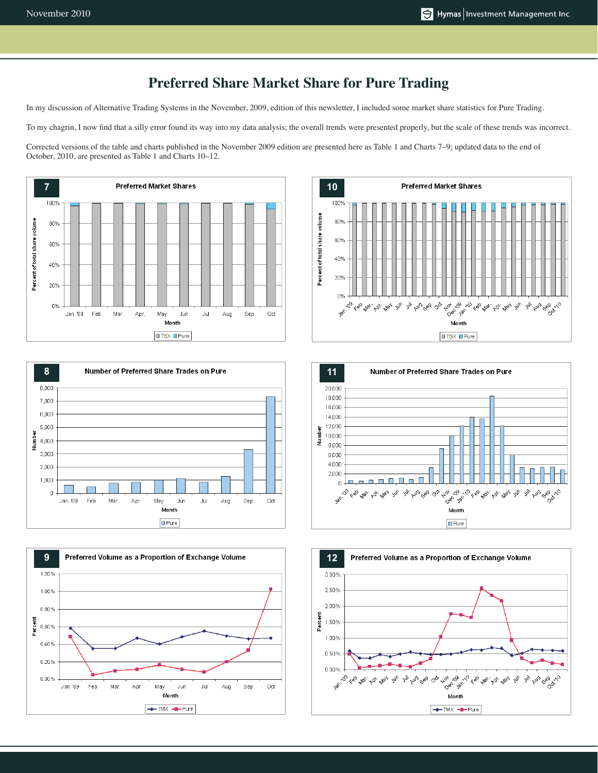# **Preferred Share Market Share for Pure Trading**

In my discussion of Alternative Trading Systems in the November, 2009, edition of this newsletter, I included some market share statistics for Pure Trading.

To my chagrin, I now find that a silly error found its way into my data analysis; the overall trends were presented properly, but the scale of these trends was incorrect.

Corrected versions of the table and charts published in the November 2009 edition are presented here as Table 1 and Charts 7–9; updated data to the end of October, 2010, are presented as Table 1 and Charts 10–12.